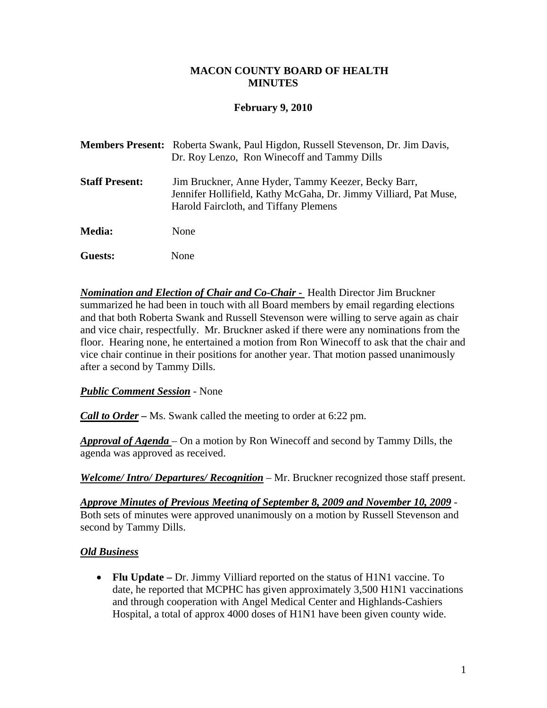#### **MACON COUNTY BOARD OF HEALTH MINUTES**

### **February 9, 2010**

|                       | <b>Members Present:</b> Roberta Swank, Paul Higdon, Russell Stevenson, Dr. Jim Davis,<br>Dr. Roy Lenzo, Ron Winecoff and Tammy Dills                             |
|-----------------------|------------------------------------------------------------------------------------------------------------------------------------------------------------------|
| <b>Staff Present:</b> | Jim Bruckner, Anne Hyder, Tammy Keezer, Becky Barr,<br>Jennifer Hollifield, Kathy McGaha, Dr. Jimmy Villiard, Pat Muse,<br>Harold Faircloth, and Tiffany Plemens |
| <b>Media:</b>         | None                                                                                                                                                             |
| Guests:               | None                                                                                                                                                             |

**Nomination and Election of Chair and Co-Chair -** Health Director Jim Bruckner summarized he had been in touch with all Board members by email regarding elections and that both Roberta Swank and Russell Stevenson were willing to serve again as chair and vice chair, respectfully. Mr. Bruckner asked if there were any nominations from the floor. Hearing none, he entertained a motion from Ron Winecoff to ask that the chair and vice chair continue in their positions for another year. That motion passed unanimously after a second by Tammy Dills.

#### *Public Comment Session* - None

*Call to Order –* Ms. Swank called the meeting to order at 6:22 pm.

*Approval of Agenda* – On a motion by Ron Winecoff and second by Tammy Dills, the agenda was approved as received.

*Welcome/ Intro/ Departures/ Recognition* – Mr. Bruckner recognized those staff present.

*Approve Minutes of Previous Meeting of September 8, 2009 and November 10, 2009* - Both sets of minutes were approved unanimously on a motion by Russell Stevenson and second by Tammy Dills.

# *Old Business*

• **Flu Update** – Dr. Jimmy Villiard reported on the status of H1N1 vaccine. To date, he reported that MCPHC has given approximately 3,500 H1N1 vaccinations and through cooperation with Angel Medical Center and Highlands-Cashiers Hospital, a total of approx 4000 doses of H1N1 have been given county wide.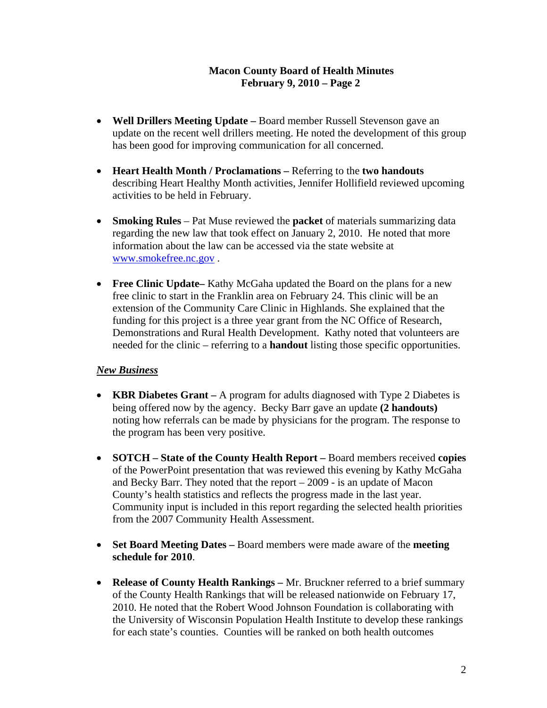### **Macon County Board of Health Minutes February 9, 2010 – Page 2**

- **Well Drillers Meeting Update** Board member Russell Stevenson gave an update on the recent well drillers meeting. He noted the development of this group has been good for improving communication for all concerned.
- **Heart Health Month / Proclamations** Referring to the **two handouts**  describing Heart Healthy Month activities, Jennifer Hollifield reviewed upcoming activities to be held in February.
- **Smoking Rules** Pat Muse reviewed the **packet** of materials summarizing data regarding the new law that took effect on January 2, 2010. He noted that more information about the law can be accessed via the state website at [www.smokefree.nc.gov](http://www.smokefree.nc.gov/) .
- **Free Clinic Update–** Kathy McGaha updated the Board on the plans for a new free clinic to start in the Franklin area on February 24. This clinic will be an extension of the Community Care Clinic in Highlands. She explained that the funding for this project is a three year grant from the NC Office of Research, Demonstrations and Rural Health Development. Kathy noted that volunteers are needed for the clinic – referring to a **handout** listing those specific opportunities.

#### *New Business*

- **KBR Diabetes Grant** A program for adults diagnosed with Type 2 Diabetes is being offered now by the agency. Becky Barr gave an update **(2 handouts)** noting how referrals can be made by physicians for the program. The response to the program has been very positive.
- **SOTCH State of the County Health Report** Board members received **copies**  of the PowerPoint presentation that was reviewed this evening by Kathy McGaha and Becky Barr. They noted that the report – 2009 - is an update of Macon County's health statistics and reflects the progress made in the last year. Community input is included in this report regarding the selected health priorities from the 2007 Community Health Assessment.
- **Set Board Meeting Dates** Board members were made aware of the **meeting schedule for 2010**.
- **Release of County Health Rankings** Mr. Bruckner referred to a brief summary of the County Health Rankings that will be released nationwide on February 17, 2010. He noted that the Robert Wood Johnson Foundation is collaborating with the University of Wisconsin Population Health Institute to develop these rankings for each state's counties. Counties will be ranked on both health outcomes